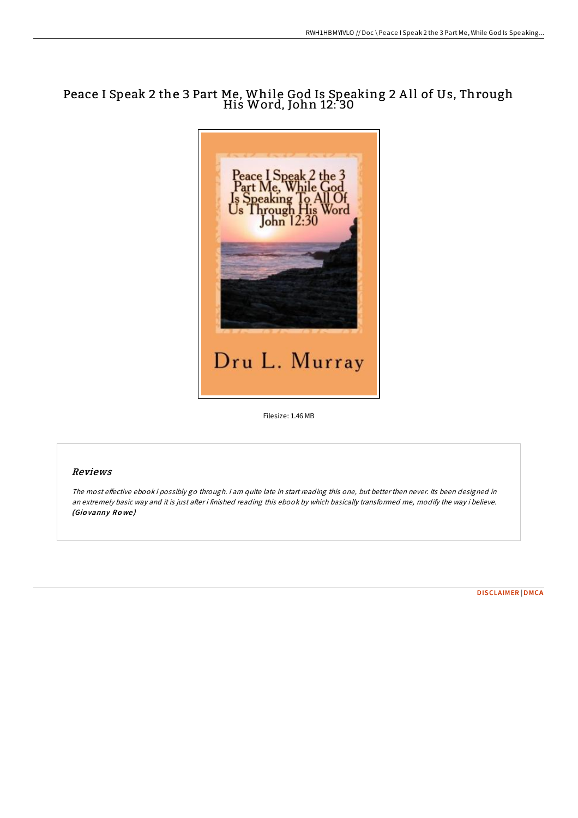# Peace I Speak 2 the 3 Part Me, While God Is Speaking 2 A ll of Us, Through His Word, John 12: 30



Filesize: 1.46 MB

## Reviews

The most effective ebook i possibly go through. I am quite late in start reading this one, but better then never. Its been designed in an extremely basic way and it is just after i finished reading this ebook by which basically transformed me, modify the way i believe. (Gio vanny Ro we )

[DISCLAIMER](http://almighty24.tech/disclaimer.html) | [DMCA](http://almighty24.tech/dmca.html)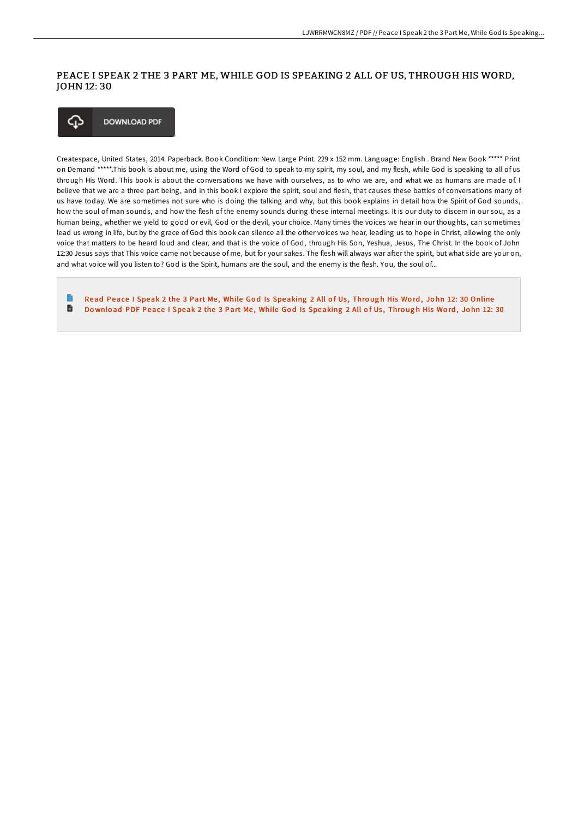### PEACE I SPEAK 2 THE 3 PART ME, WHILE GOD IS SPEAKING 2 ALL OF US, THROUGH HIS WORD, JOHN 12: 30



Createspace, United States, 2014. Paperback. Book Condition: New. Large Print. 229 x 152 mm. Language: English . Brand New Book \*\*\*\*\* Print on Demand \*\*\*\*\*.This book is about me, using the Word of God to speak to my spirit, my soul, and my flesh, while God is speaking to all of us through His Word. This book is about the conversations we have with ourselves, as to who we are, and what we as humans are made of. I believe that we are a three part being, and in this book I explore the spirit, soul and flesh, that causes these battles of conversations many of us have today. We are sometimes not sure who is doing the talking and why, but this book explains in detail how the Spirit of God sounds, how the soul of man sounds, and how the flesh of the enemy sounds during these internal meetings. It is our duty to discern in our sou, as a human being, whether we yield to good or evil, God or the devil, your choice. Many times the voices we hear in our thoughts, can sometimes lead us wrong in life, but by the grace of God this book can silence all the other voices we hear, leading us to hope in Christ, allowing the only voice that matters to be heard loud and clear, and that is the voice of God, through His Son, Yeshua, Jesus, The Christ. In the book of John 12:30 Jesus says that This voice came not because of me, but for your sakes. The flesh will always war after the spirit, but what side are your on, and what voice will you listen to? God is the Spirit, humans are the soul, and the enemy is the flesh. You, the soul of...

B Read Peace I Speak 2 the 3 Part Me, While God Is [Speaking](http://almighty24.tech/peace-i-speak-2-the-3-part-me-while-god-is-speak.html) 2 All of Us, Through His Word, John 12: 30 Online D Download PDF Peace I Speak 2 the 3 Part Me, While God Is [Speaking](http://almighty24.tech/peace-i-speak-2-the-3-part-me-while-god-is-speak.html) 2 All of Us, Through His Word, John 12: 30